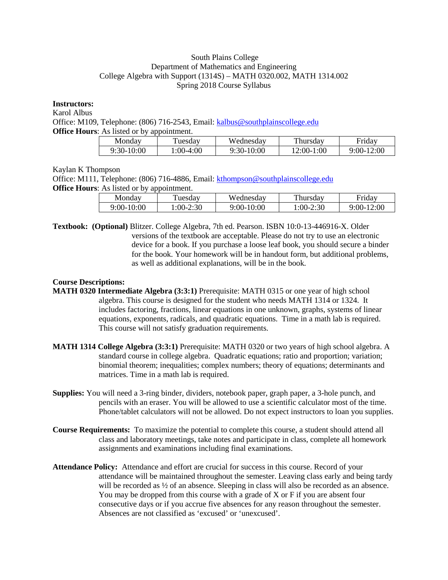## South Plains College Department of Mathematics and Engineering College Algebra with Support (1314S) – MATH 0320.002, MATH 1314.002 Spring 2018 Course Syllabus

## **Instructors:**

Karol Albus

Office: M109, Telephone: (806) 716-2543, Email: [kalbus@southplainscollege.edu](mailto:kalbus@southplainscollege.edu) **Office Hours:** As listed or by appointment.

| Monday       | uesday     | Wednesdav  | Thursday     | Fridav     |
|--------------|------------|------------|--------------|------------|
| $9:30-10:00$ | $:00-4:00$ | 9:30-10:00 | $12:00-1:00$ | 9:00-12:00 |

Kaylan K Thompson

Office: M111, Telephone: (806) 716-4886, Email: [kthompson@southplainscollege.edu](mailto:kthompson@southplainscollege.edu) **Office Hours:** As listed or by appointment.

| Mondav     | uesdav     | Wednesdav  | Thursday   | Fridav     |
|------------|------------|------------|------------|------------|
| 9:00-10:00 | $:00-2:30$ | 9:00-10:00 | $:00-2:30$ | 9:00-12:00 |

**Textbook: (Optional)** Blitzer. College Algebra, 7th ed. Pearson. ISBN 10:0-13-446916-X. Older versions of the textbook are acceptable. Please do not try to use an electronic device for a book. If you purchase a loose leaf book, you should secure a binder for the book. Your homework will be in handout form, but additional problems, as well as additional explanations, will be in the book.

# **Course Descriptions:**

- **MATH 0320 Intermediate Algebra (3:3:1)** Prerequisite: MATH 0315 or one year of high school algebra. This course is designed for the student who needs MATH 1314 or 1324. It includes factoring, fractions, linear equations in one unknown, graphs, systems of linear equations, exponents, radicals, and quadratic equations. Time in a math lab is required. This course will not satisfy graduation requirements.
- **MATH 1314 College Algebra (3:3:1)** Prerequisite: MATH 0320 or two years of high school algebra. A standard course in college algebra. Quadratic equations; ratio and proportion; variation; binomial theorem; inequalities; complex numbers; theory of equations; determinants and matrices. Time in a math lab is required.
- **Supplies:** You will need a 3-ring binder, dividers, notebook paper, graph paper, a 3-hole punch, and pencils with an eraser. You will be allowed to use a scientific calculator most of the time. Phone/tablet calculators will not be allowed. Do not expect instructors to loan you supplies.
- **Course Requirements:** To maximize the potential to complete this course, a student should attend all class and laboratory meetings, take notes and participate in class, complete all homework assignments and examinations including final examinations.
- **Attendance Policy:** Attendance and effort are crucial for success in this course. Record of your attendance will be maintained throughout the semester. Leaving class early and being tardy will be recorded as  $\frac{1}{2}$  of an absence. Sleeping in class will also be recorded as an absence. You may be dropped from this course with a grade of X or F if you are absent four consecutive days or if you accrue five absences for any reason throughout the semester. Absences are not classified as 'excused' or 'unexcused'.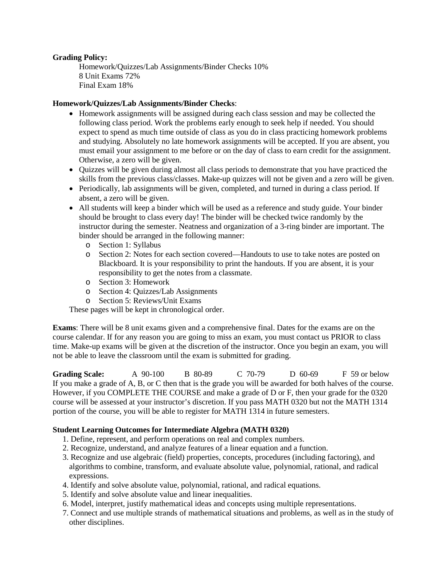## **Grading Policy:**

Homework/Quizzes/Lab Assignments/Binder Checks 10% 8 Unit Exams 72% Final Exam 18%

### **Homework/Quizzes/Lab Assignments/Binder Checks**:

- Homework assignments will be assigned during each class session and may be collected the following class period. Work the problems early enough to seek help if needed. You should expect to spend as much time outside of class as you do in class practicing homework problems and studying. Absolutely no late homework assignments will be accepted. If you are absent, you must email your assignment to me before or on the day of class to earn credit for the assignment. Otherwise, a zero will be given.
- Quizzes will be given during almost all class periods to demonstrate that you have practiced the skills from the previous class/classes. Make-up quizzes will not be given and a zero will be given.
- Periodically, lab assignments will be given, completed, and turned in during a class period. If absent, a zero will be given.
- All students will keep a binder which will be used as a reference and study guide. Your binder should be brought to class every day! The binder will be checked twice randomly by the instructor during the semester. Neatness and organization of a 3-ring binder are important. The binder should be arranged in the following manner:
	- o Section 1: Syllabus
	- o Section 2: Notes for each section covered—Handouts to use to take notes are posted on Blackboard. It is your responsibility to print the handouts. If you are absent, it is your responsibility to get the notes from a classmate.
	- o Section 3: Homework
	- o Section 4: Quizzes/Lab Assignments
	- o Section 5: Reviews/Unit Exams

These pages will be kept in chronological order.

**Exams**: There will be 8 unit exams given and a comprehensive final. Dates for the exams are on the course calendar. If for any reason you are going to miss an exam, you must contact us PRIOR to class time. Make-up exams will be given at the discretion of the instructor. Once you begin an exam, you will not be able to leave the classroom until the exam is submitted for grading.

**Grading Scale:** A 90-100 B 80-89 C 70-79 D 60-69 F 59 or below If you make a grade of A, B, or C then that is the grade you will be awarded for both halves of the course. However, if you COMPLETE THE COURSE and make a grade of D or F, then your grade for the 0320 course will be assessed at your instructor's discretion. If you pass MATH 0320 but not the MATH 1314 portion of the course, you will be able to register for MATH 1314 in future semesters.

### **Student Learning Outcomes for Intermediate Algebra (MATH 0320)**

- 1. Define, represent, and perform operations on real and complex numbers.
- 2. Recognize, understand, and analyze features of a linear equation and a function.
- 3. Recognize and use algebraic (field) properties, concepts, procedures (including factoring), and algorithms to combine, transform, and evaluate absolute value, polynomial, rational, and radical expressions.
- 4. Identify and solve absolute value, polynomial, rational, and radical equations.
- 5. Identify and solve absolute value and linear inequalities.
- 6. Model, interpret, justify mathematical ideas and concepts using multiple representations.
- 7. Connect and use multiple strands of mathematical situations and problems, as well as in the study of other disciplines.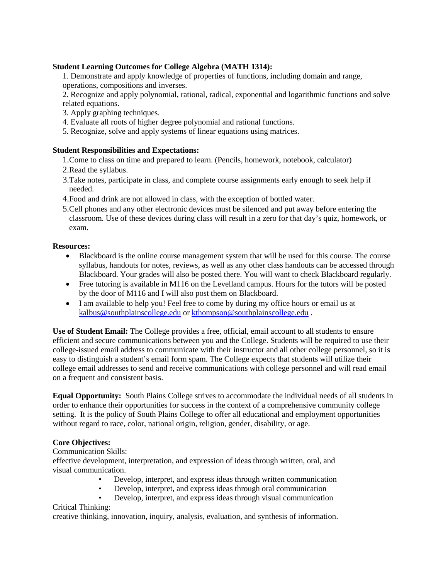# **Student Learning Outcomes for College Algebra (MATH 1314):**

1. Demonstrate and apply knowledge of properties of functions, including domain and range, operations, compositions and inverses.

2. Recognize and apply polynomial, rational, radical, exponential and logarithmic functions and solve related equations.

- 3. Apply graphing techniques.
- 4. Evaluate all roots of higher degree polynomial and rational functions.
- 5. Recognize, solve and apply systems of linear equations using matrices.

# **Student Responsibilities and Expectations:**

- 1.Come to class on time and prepared to learn. (Pencils, homework, notebook, calculator)
- 2.Read the syllabus.
- 3.Take notes, participate in class, and complete course assignments early enough to seek help if needed.
- 4.Food and drink are not allowed in class, with the exception of bottled water.
- 5.Cell phones and any other electronic devices must be silenced and put away before entering the classroom. Use of these devices during class will result in a zero for that day's quiz, homework, or exam.

### **Resources:**

- Blackboard is the online course management system that will be used for this course. The course syllabus, handouts for notes, reviews, as well as any other class handouts can be accessed through Blackboard. Your grades will also be posted there. You will want to check Blackboard regularly.
- Free tutoring is available in M116 on the Levelland campus. Hours for the tutors will be posted by the door of M116 and I will also post them on Blackboard.
- I am available to help you! Feel free to come by during my office hours or email us at [kalbus@southplainscollege.edu](mailto:kalbus@southplainscollege.edu) or [kthompson@southplainscollege.edu](mailto:kthompson@southplainscollege.edu) .

**Use of Student Email:** The College provides a free, official, email account to all students to ensure efficient and secure communications between you and the College. Students will be required to use their college-issued email address to communicate with their instructor and all other college personnel, so it is easy to distinguish a student's email form spam. The College expects that students will utilize their college email addresses to send and receive communications with college personnel and will read email on a frequent and consistent basis.

**Equal Opportunity:** South Plains College strives to accommodate the individual needs of all students in order to enhance their opportunities for success in the context of a comprehensive community college setting. It is the policy of South Plains College to offer all educational and employment opportunities without regard to race, color, national origin, religion, gender, disability, or age.

### **Core Objectives:**

## Communication Skills:

effective development, interpretation, and expression of ideas through written, oral, and visual communication.

- Develop, interpret, and express ideas through written communication<br>• Develop interpret, and express ideas through oral communication
- Develop, interpret, and express ideas through oral communication
- Develop, interpret, and express ideas through visual communication

# Critical Thinking:

creative thinking, innovation, inquiry, analysis, evaluation, and synthesis of information.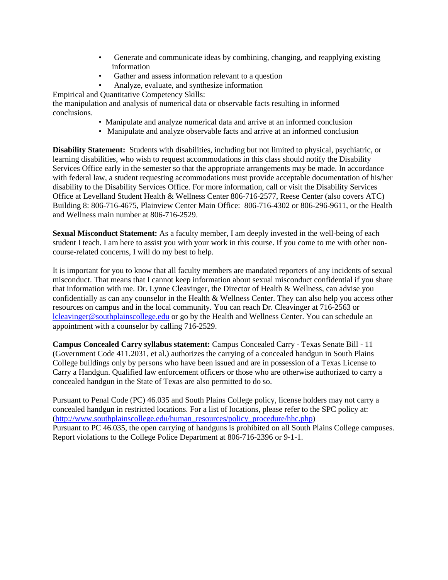- Generate and communicate ideas by combining, changing, and reapplying existing information
- Gather and assess information relevant to a question
- Analyze, evaluate, and synthesize information

Empirical and Quantitative Competency Skills:

the manipulation and analysis of numerical data or observable facts resulting in informed conclusions.

- Manipulate and analyze numerical data and arrive at an informed conclusion
- Manipulate and analyze observable facts and arrive at an informed conclusion

**Disability Statement:** Students with disabilities, including but not limited to physical, psychiatric, or learning disabilities, who wish to request accommodations in this class should notify the Disability Services Office early in the semester so that the appropriate arrangements may be made. In accordance with federal law, a student requesting accommodations must provide acceptable documentation of his/her disability to the Disability Services Office. For more information, call or visit the Disability Services Office at Levelland Student Health & Wellness Center 806-716-2577, Reese Center (also covers ATC) Building 8: 806-716-4675, Plainview Center Main Office: 806-716-4302 or 806-296-9611, or the Health and Wellness main number at 806-716-2529.

**Sexual Misconduct Statement:** As a faculty member, I am deeply invested in the well-being of each student I teach. I am here to assist you with your work in this course. If you come to me with other noncourse-related concerns, I will do my best to help.

It is important for you to know that all faculty members are mandated reporters of any incidents of sexual misconduct. That means that I cannot keep information about sexual misconduct confidential if you share that information with me. Dr. Lynne Cleavinger, the Director of Health & Wellness, can advise you confidentially as can any counselor in the Health & Wellness Center. They can also help you access other resources on campus and in the local community. You can reach Dr. Cleavinger at 716-2563 or [lcleavinger@southplainscollege.edu](mailto:lcleavinger@southplainscollege.edu) or go by the Health and Wellness Center. You can schedule an appointment with a counselor by calling 716-2529.

**Campus Concealed Carry syllabus statement:** Campus Concealed Carry - Texas Senate Bill - 11 (Government Code 411.2031, et al.) authorizes the carrying of a concealed handgun in South Plains College buildings only by persons who have been issued and are in possession of a Texas License to Carry a Handgun. Qualified law enforcement officers or those who are otherwise authorized to carry a concealed handgun in the State of Texas are also permitted to do so.

Pursuant to Penal Code (PC) 46.035 and South Plains College policy, license holders may not carry a concealed handgun in restricted locations. For a list of locations, please refer to the SPC policy at: [\(http://www.southplainscollege.edu/human\\_resources/policy\\_procedure/hhc.php\)](http://www.southplainscollege.edu/human_resources/policy_procedure/hhc.php) Pursuant to PC 46.035, the open carrying of handguns is prohibited on all South Plains College campuses. Report violations to the College Police Department at 806-716-2396 or 9-1-1.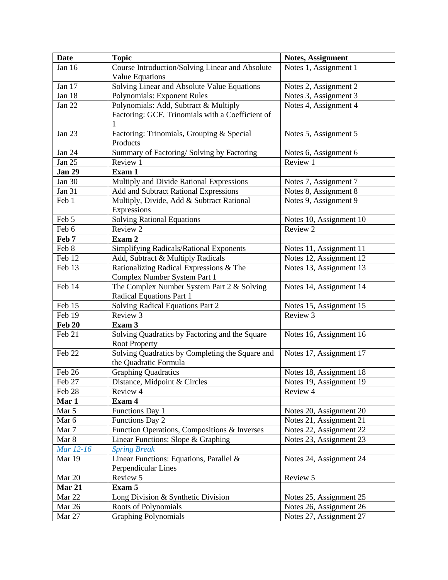| <b>Date</b>   | <b>Topic</b>                                                             | <b>Notes, Assignment</b> |
|---------------|--------------------------------------------------------------------------|--------------------------|
| Jan 16        | Course Introduction/Solving Linear and Absolute                          | Notes 1, Assignment 1    |
|               | Value Equations                                                          |                          |
| Jan 17        | Solving Linear and Absolute Value Equations                              | Notes 2, Assignment 2    |
| Jan 18        | <b>Polynomials: Exponent Rules</b>                                       | Notes 3, Assignment 3    |
| Jan 22        | Polynomials: Add, Subtract & Multiply                                    | Notes 4, Assignment 4    |
|               | Factoring: GCF, Trinomials with a Coefficient of                         |                          |
|               |                                                                          |                          |
| Jan 23        | Factoring: Trinomials, Grouping & Special                                | Notes 5, Assignment 5    |
|               | Products                                                                 |                          |
| Jan $24$      | Summary of Factoring/Solving by Factoring                                | Notes 6, Assignment 6    |
| Jan 25        | Review 1                                                                 | Review 1                 |
| <b>Jan 29</b> | Exam 1                                                                   |                          |
| Jan 30        | Multiply and Divide Rational Expressions                                 | Notes 7, Assignment 7    |
| <b>Jan 31</b> | Add and Subtract Rational Expressions                                    | Notes 8, Assignment 8    |
| Feb 1         | Multiply, Divide, Add & Subtract Rational                                | Notes 9, Assignment 9    |
|               | Expressions                                                              |                          |
| Feb 5         | <b>Solving Rational Equations</b>                                        | Notes 10, Assignment 10  |
| Feb 6         | Review 2                                                                 | Review 2                 |
| Feb 7         | Exam 2                                                                   |                          |
| Feb 8         | Simplifying Radicals/Rational Exponents                                  | Notes 11, Assignment 11  |
| Feb 12        | Add, Subtract & Multiply Radicals                                        | Notes 12, Assignment 12  |
| Feb 13        | Rationalizing Radical Expressions & The                                  | Notes 13, Assignment 13  |
|               | Complex Number System Part 1                                             |                          |
| Feb 14        | The Complex Number System Part 2 & Solving                               | Notes 14, Assignment 14  |
|               | Radical Equations Part 1                                                 |                          |
| Feb 15        | Solving Radical Equations Part 2                                         | Notes 15, Assignment 15  |
| Feb 19        | Review 3                                                                 | Review 3                 |
| <b>Feb 20</b> | Exam 3                                                                   |                          |
| Feb 21        | Solving Quadratics by Factoring and the Square                           | Notes 16, Assignment 16  |
| Feb 22        | <b>Root Property</b>                                                     | Notes 17, Assignment 17  |
|               | Solving Quadratics by Completing the Square and<br>the Quadratic Formula |                          |
| Feb 26        | <b>Graphing Quadratics</b>                                               | Notes 18, Assignment 18  |
| Feb 27        | Distance, Midpoint & Circles                                             | Notes 19, Assignment 19  |
| Feb 28        | Review 4                                                                 | Review 4                 |
| Mar 1         | Exam 4                                                                   |                          |
| Mar 5         | Functions Day 1                                                          | Notes 20, Assignment 20  |
| Mar 6         | Functions Day 2                                                          | Notes 21, Assignment 21  |
| Mar 7         | Function Operations, Compositions & Inverses                             | Notes 22, Assignment 22  |
| Mar 8         | Linear Functions: Slope & Graphing                                       | Notes 23, Assignment 23  |
| Mar 12-16     | <b>Spring Break</b>                                                      |                          |
| Mar 19        | Linear Functions: Equations, Parallel &                                  | Notes 24, Assignment 24  |
|               | Perpendicular Lines                                                      |                          |
| Mar 20        | Review 5                                                                 | Review 5                 |
| Mar 21        | Exam 5                                                                   |                          |
| Mar 22        | Long Division & Synthetic Division                                       | Notes 25, Assignment 25  |
| Mar 26        | Roots of Polynomials                                                     | Notes 26, Assignment 26  |
| Mar 27        | <b>Graphing Polynomials</b>                                              | Notes 27, Assignment 27  |